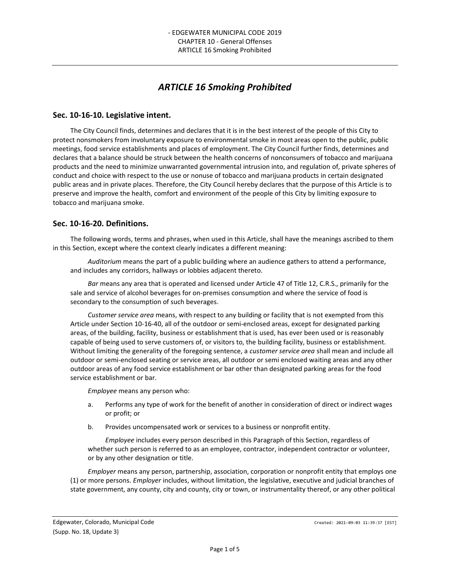# *ARTICLE 16 Smoking Prohibited*

## **Sec. 10-16-10. Legislative intent.**

The City Council finds, determines and declares that it is in the best interest of the people of this City to protect nonsmokers from involuntary exposure to environmental smoke in most areas open to the public, public meetings, food service establishments and places of employment. The City Council further finds, determines and declares that a balance should be struck between the health concerns of nonconsumers of tobacco and marijuana products and the need to minimize unwarranted governmental intrusion into, and regulation of, private spheres of conduct and choice with respect to the use or nonuse of tobacco and marijuana products in certain designated public areas and in private places. Therefore, the City Council hereby declares that the purpose of this Article is to preserve and improve the health, comfort and environment of the people of this City by limiting exposure to tobacco and marijuana smoke.

## **Sec. 10-16-20. Definitions.**

The following words, terms and phrases, when used in this Article, shall have the meanings ascribed to them in this Section, except where the context clearly indicates a different meaning:

*Auditorium* means the part of a public building where an audience gathers to attend a performance, and includes any corridors, hallways or lobbies adjacent thereto.

*Bar* means any area that is operated and licensed under Article 47 of Title 12, C.R.S., primarily for the sale and service of alcohol beverages for on-premises consumption and where the service of food is secondary to the consumption of such beverages.

*Customer service area* means, with respect to any building or facility that is not exempted from this Article under Section 10-16-40, all of the outdoor or semi-enclosed areas, except for designated parking areas, of the building, facility, business or establishment that is used, has ever been used or is reasonably capable of being used to serve customers of, or visitors to, the building facility, business or establishment. Without limiting the generality of the foregoing sentence, a *customer service area* shall mean and include all outdoor or semi-enclosed seating or service areas, all outdoor or semi enclosed waiting areas and any other outdoor areas of any food service establishment or bar other than designated parking areas for the food service establishment or bar.

*Employee* means any person who:

- a. Performs any type of work for the benefit of another in consideration of direct or indirect wages or profit; or
- b. Provides uncompensated work or services to a business or nonprofit entity.

*Employee* includes every person described in this Paragraph of this Section, regardless of whether such person is referred to as an employee, contractor, independent contractor or volunteer, or by any other designation or title.

*Employer* means any person, partnership, association, corporation or nonprofit entity that employs one (1) or more persons. *Employer* includes, without limitation, the legislative, executive and judicial branches of state government, any county, city and county, city or town, or instrumentality thereof, or any other political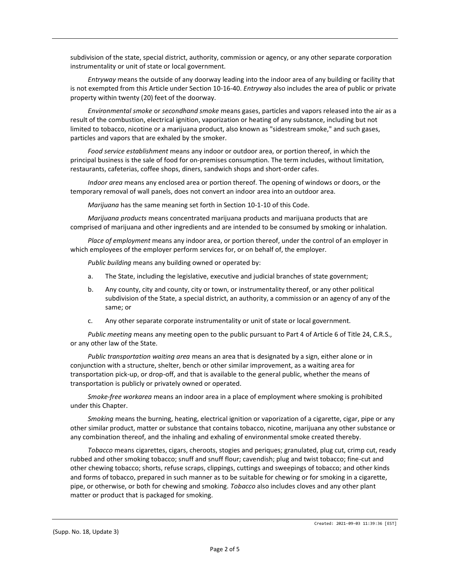subdivision of the state, special district, authority, commission or agency, or any other separate corporation instrumentality or unit of state or local government.

*Entryway* means the outside of any doorway leading into the indoor area of any building or facility that is not exempted from this Article under Section 10-16-40. *Entryway* also includes the area of public or private property within twenty (20) feet of the doorway.

*Environmental smoke* or *secondhand smoke* means gases, particles and vapors released into the air as a result of the combustion, electrical ignition, vaporization or heating of any substance, including but not limited to tobacco, nicotine or a marijuana product, also known as "sidestream smoke," and such gases, particles and vapors that are exhaled by the smoker.

*Food service establishment* means any indoor or outdoor area, or portion thereof, in which the principal business is the sale of food for on-premises consumption. The term includes, without limitation, restaurants, cafeterias, coffee shops, diners, sandwich shops and short-order cafes.

*Indoor area* means any enclosed area or portion thereof. The opening of windows or doors, or the temporary removal of wall panels, does not convert an indoor area into an outdoor area.

*Marijuana* has the same meaning set forth in Section 10-1-10 of this Code.

*Marijuana products* means concentrated marijuana products and marijuana products that are comprised of marijuana and other ingredients and are intended to be consumed by smoking or inhalation.

*Place of employment* means any indoor area, or portion thereof, under the control of an employer in which employees of the employer perform services for, or on behalf of, the employer.

*Public building* means any building owned or operated by:

- a. The State, including the legislative, executive and judicial branches of state government;
- b. Any county, city and county, city or town, or instrumentality thereof, or any other political subdivision of the State, a special district, an authority, a commission or an agency of any of the same; or
- c. Any other separate corporate instrumentality or unit of state or local government.

*Public meeting* means any meeting open to the public pursuant to Part 4 of Article 6 of Title 24, C.R.S., or any other law of the State.

*Public transportation waiting area* means an area that is designated by a sign, either alone or in conjunction with a structure, shelter, bench or other similar improvement, as a waiting area for transportation pick-up, or drop-off, and that is available to the general public, whether the means of transportation is publicly or privately owned or operated.

*Smoke-free workarea* means an indoor area in a place of employment where smoking is prohibited under this Chapter.

*Smoking* means the burning, heating, electrical ignition or vaporization of a cigarette, cigar, pipe or any other similar product, matter or substance that contains tobacco, nicotine, marijuana any other substance or any combination thereof, and the inhaling and exhaling of environmental smoke created thereby.

*Tobacco* means cigarettes, cigars, cheroots, stogies and periques; granulated, plug cut, crimp cut, ready rubbed and other smoking tobacco; snuff and snuff flour; cavendish; plug and twist tobacco; fine-cut and other chewing tobacco; shorts, refuse scraps, clippings, cuttings and sweepings of tobacco; and other kinds and forms of tobacco, prepared in such manner as to be suitable for chewing or for smoking in a cigarette, pipe, or otherwise, or both for chewing and smoking. *Tobacco* also includes cloves and any other plant matter or product that is packaged for smoking.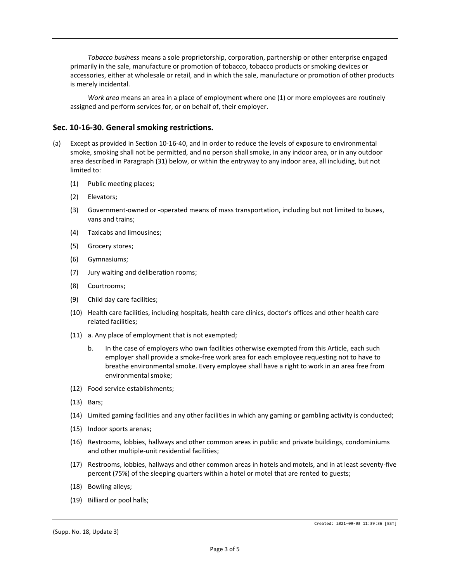*Tobacco business* means a sole proprietorship, corporation, partnership or other enterprise engaged primarily in the sale, manufacture or promotion of tobacco, tobacco products or smoking devices or accessories, either at wholesale or retail, and in which the sale, manufacture or promotion of other products is merely incidental.

*Work area* means an area in a place of employment where one (1) or more employees are routinely assigned and perform services for, or on behalf of, their employer.

## **Sec. 10-16-30. General smoking restrictions.**

- (a) Except as provided in Section 10-16-40, and in order to reduce the levels of exposure to environmental smoke, smoking shall not be permitted, and no person shall smoke, in any indoor area, or in any outdoor area described in Paragraph (31) below, or within the entryway to any indoor area, all including, but not limited to:
	- (1) Public meeting places;
	- (2) Elevators;
	- (3) Government-owned or -operated means of mass transportation, including but not limited to buses, vans and trains;
	- (4) Taxicabs and limousines;
	- (5) Grocery stores;
	- (6) Gymnasiums;
	- (7) Jury waiting and deliberation rooms;
	- (8) Courtrooms;
	- (9) Child day care facilities;
	- (10) Health care facilities, including hospitals, health care clinics, doctor's offices and other health care related facilities;
	- (11) a. Any place of employment that is not exempted;
		- b. In the case of employers who own facilities otherwise exempted from this Article, each such employer shall provide a smoke-free work area for each employee requesting not to have to breathe environmental smoke. Every employee shall have a right to work in an area free from environmental smoke;
	- (12) Food service establishments;
	- (13) Bars;
	- (14) Limited gaming facilities and any other facilities in which any gaming or gambling activity is conducted;
	- (15) Indoor sports arenas;
	- (16) Restrooms, lobbies, hallways and other common areas in public and private buildings, condominiums and other multiple-unit residential facilities;
	- (17) Restrooms, lobbies, hallways and other common areas in hotels and motels, and in at least seventy-five percent (75%) of the sleeping quarters within a hotel or motel that are rented to guests;
	- (18) Bowling alleys;
	- (19) Billiard or pool halls;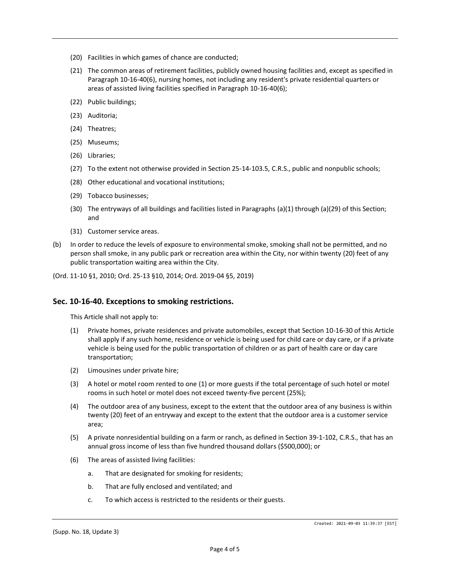- (20) Facilities in which games of chance are conducted;
- (21) The common areas of retirement facilities, publicly owned housing facilities and, except as specified in Paragraph 10-16-40(6), nursing homes, not including any resident's private residential quarters or areas of assisted living facilities specified in Paragraph 10-16-40(6);
- (22) Public buildings;
- (23) Auditoria;
- (24) Theatres;
- (25) Museums;
- (26) Libraries;
- (27) To the extent not otherwise provided in Section 25-14-103.5, C.R.S., public and nonpublic schools;
- (28) Other educational and vocational institutions;
- (29) Tobacco businesses;
- (30) The entryways of all buildings and facilities listed in Paragraphs (a)(1) through (a)(29) of this Section; and
- (31) Customer service areas.
- (b) In order to reduce the levels of exposure to environmental smoke, smoking shall not be permitted, and no person shall smoke, in any public park or recreation area within the City, nor within twenty (20) feet of any public transportation waiting area within the City.
- (Ord. 11-10 §1, 2010; Ord. 25-13 §10, 2014; Ord. 2019-04 §5, 2019)

#### **Sec. 10-16-40. Exceptions to smoking restrictions.**

This Article shall not apply to:

- (1) Private homes, private residences and private automobiles, except that Section 10-16-30 of this Article shall apply if any such home, residence or vehicle is being used for child care or day care, or if a private vehicle is being used for the public transportation of children or as part of health care or day care transportation;
- (2) Limousines under private hire;
- (3) A hotel or motel room rented to one (1) or more guests if the total percentage of such hotel or motel rooms in such hotel or motel does not exceed twenty-five percent (25%);
- (4) The outdoor area of any business, except to the extent that the outdoor area of any business is within twenty (20) feet of an entryway and except to the extent that the outdoor area is a customer service area;
- (5) A private nonresidential building on a farm or ranch, as defined in Section 39-1-102, C.R.S., that has an annual gross income of less than five hundred thousand dollars (\$500,000); or
- (6) The areas of assisted living facilities:
	- a. That are designated for smoking for residents;
	- b. That are fully enclosed and ventilated; and
	- c. To which access is restricted to the residents or their guests.